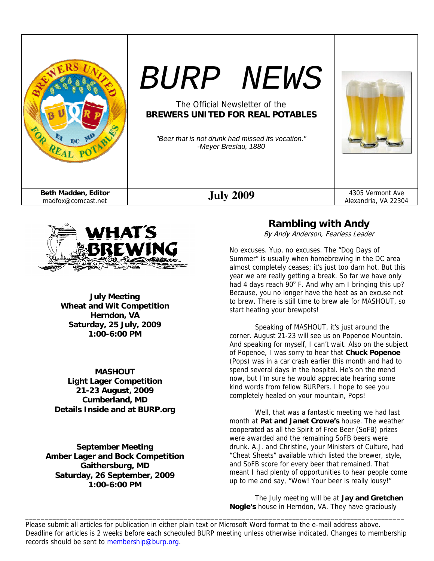



**July Meeting Wheat and Wit Competition Herndon, VA Saturday, 25 July, 2009 1:00-6:00 PM** 

**MASHOUT Light Lager Competition 21-23 August, 2009 Cumberland, MD Details Inside and at BURP.org** 

**September Meeting Amber Lager and Bock Competition Gaithersburg, MD Saturday, 26 September, 2009 1:00-6:00 PM** 

# **Rambling with Andy**

By Andy Anderson, Fearless Leader

No excuses. Yup, no excuses. The "Dog Days of Summer" is usually when homebrewing in the DC area almost completely ceases; it's just too darn hot. But this year we are really getting a break. So far we have only had 4 days reach  $90^{\circ}$  F. And why am I bringing this up? Because, you no longer have the heat as an excuse not to brew. There is still time to brew ale for MASHOUT, so start heating your brewpots!

Speaking of MASHOUT, it's just around the corner. August 21-23 will see us on Popenoe Mountain. And speaking for myself, I can't wait. Also on the subject of Popenoe, I was sorry to hear that **Chuck Popenoe** (Pops) was in a car crash earlier this month and had to spend several days in the hospital. He's on the mend now, but I'm sure he would appreciate hearing some kind words from fellow BURPers. I hope to see you completely healed on your mountain, Pops!

 Well, that was a fantastic meeting we had last month at **Pat and Janet Crowe's** house. The weather cooperated as all the Spirit of Free Beer (SoFB) prizes were awarded and the remaining SoFB beers were drunk. A.J. and Christine, your Ministers of Culture, had "Cheat Sheets" available which listed the brewer, style, and SoFB score for every beer that remained. That meant I had plenty of opportunities to hear people come up to me and say, "Wow! Your beer is really lousy!"

 The July meeting will be at **Jay and Gretchen Nogle's** house in Herndon, VA. They have graciously

Please submit all articles for publication in either plain text or Microsoft Word format to the e-mail address above. Deadline for articles is 2 weeks before each scheduled BURP meeting unless otherwise indicated. Changes to membership records should be sent to membership@burp.org.

\_\_\_\_\_\_\_\_\_\_\_\_\_\_\_\_\_\_\_\_\_\_\_\_\_\_\_\_\_\_\_\_\_\_\_\_\_\_\_\_\_\_\_\_\_\_\_\_\_\_\_\_\_\_\_\_\_\_\_\_\_\_\_\_\_\_\_\_\_\_\_\_\_\_\_\_\_\_\_\_\_\_\_\_\_\_\_\_\_\_\_\_\_\_\_\_\_\_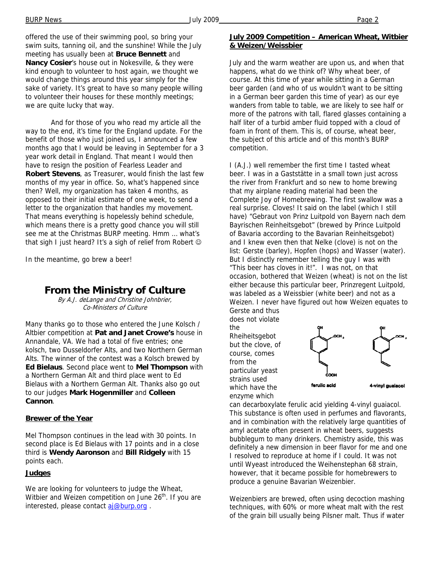offered the use of their swimming pool, so bring your swim suits, tanning oil, and the sunshine! While the July meeting has usually been at **Bruce Bennett** and **Nancy Cosier**'s house out in Nokesville, & they were kind enough to volunteer to host again, we thought we would change things around this year simply for the sake of variety. It's great to have so many people willing to volunteer their houses for these monthly meetings; we are quite lucky that way.

 And for those of you who read my article all the way to the end, it's time for the England update. For the benefit of those who just joined us, I announced a few months ago that I would be leaving in September for a 3 year work detail in England. That meant I would then have to resign the position of Fearless Leader and **Robert Stevens**, as Treasurer, would finish the last few months of my year in office. So, what's happened since then? Well, my organization has taken 4 months, as opposed to their initial estimate of one week, to send a letter to the organization that handles my movement. That means everything is hopelessly behind schedule, which means there is a pretty good chance you will still see me at the Christmas BURP meeting. Hmm … what's that sigh I just heard? It's a sigh of relief from Robert  $\odot$ 

In the meantime, go brew a beer!

### **From the Ministry of Culture**

By A.J. deLange and Christine Johnbrier, Co-Ministers of Culture

Many thanks go to those who entered the June Kolsch / Altbier competition at **Pat and Janet Crowe's** house in Annandale, VA. We had a total of five entries; one kolsch, two Dusseldorfer Alts, and two Northern German Alts. The winner of the contest was a Kolsch brewed by **Ed Bielaus**. Second place went to **Mel Thompson** with a Northern German Alt and third place went to Ed Bielaus with a Northern German Alt. Thanks also go out to our judges **Mark Hogenmiller** and **Colleen Cannon**.

#### **Brewer of the Year**

Mel Thompson continues in the lead with 30 points. In second place is Ed Bielaus with 17 points and in a close third is **Wendy Aaronson** and **Bill Ridgely** with 15 points each.

#### **Judges**

We are looking for volunteers to judge the Wheat, Witbier and Weizen competition on June 26<sup>th</sup>. If you are interested, please contact aj@burp.org.

July and the warm weather are upon us, and when that happens, what do we think of? Why wheat beer, of course. At this time of year while sitting in a German beer garden (and who of us wouldn't want to be sitting in a German beer garden this time of year) as our eye wanders from table to table, we are likely to see half or more of the patrons with tall, flared glasses containing a half liter of a turbid amber fluid topped with a cloud of foam in front of them. This is, of course, wheat beer, the subject of this article and of this month's BURP competition.

I (A.J.) well remember the first time I tasted wheat beer. I was in a Gaststätte in a small town just across the river from Frankfurt and so new to home brewing that my airplane reading material had been the Complete Joy of Homebrewing. The first swallow was a real surprise. Cloves! It said on the label (which I still have) "Gebraut von Prinz Luitpold von Bayern nach dem Bayrischen Reinheitsgebot" (brewed by Prince Luitpold of Bavaria according to the Bavarian Reinheitsgebot) and I knew even then that Nelke (clove) is not on the list: Gerste (barley), Hopfen (hops) and Wasser (water). But I distinctly remember telling the guy I was with "This beer has cloves in it!". I was not, on that occasion, bothered that Weizen (wheat) is not on the list either because this particular beer, Prinzregent Luitpold, was labeled as a Weissbier (white beer) and not as a Weizen. I never have figured out how Weizen equates to Gerste and thus

does not violate the Rheiheitsgebot but the clove, of course, comes from the particular yeast strains used which have the enzyme which



can decarboxylate ferulic acid yielding 4-vinyl guaiacol. This substance is often used in perfumes and flavorants, and in combination with the relatively large quantities of amyl acetate often present in wheat beers, suggests bubblegum to many drinkers. Chemistry aside, this was definitely a new dimension in beer flavor for me and one I resolved to reproduce at home if I could. It was not until Wyeast introduced the Weihenstephan 68 strain, however, that it became possible for homebrewers to produce a genuine Bavarian Weizenbier.

Weizenbiers are brewed, often using decoction mashing techniques, with 60% or more wheat malt with the rest of the grain bill usually being Pilsner malt. Thus if water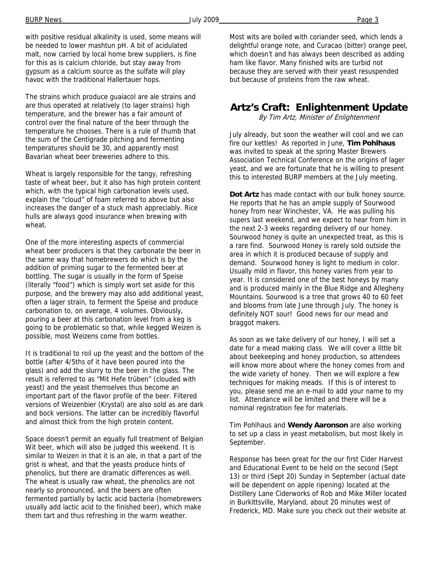with positive residual alkalinity is used, some means will be needed to lower mashtun pH. A bit of acidulated malt, now carried by local home brew suppliers, is fine for this as is calcium chloride, but stay away from gypsum as a calcium source as the sulfate will play havoc with the traditional Hallertauer hops.

The strains which produce guaiacol are ale strains and are thus operated at relatively (to lager strains) high temperature, and the brewer has a fair amount of control over the final nature of the beer through the temperature he chooses. There is a rule of thumb that the sum of the Centigrade pitching and fermenting temperatures should be 30, and apparently most Bavarian wheat beer breweries adhere to this.

Wheat is largely responsible for the tangy, refreshing taste of wheat beer, but it also has high protein content which, with the typical high carbonation levels used, explain the "cloud" of foam referred to above but also increases the danger of a stuck mash appreciably. Rice hulls are always good insurance when brewing with wheat.

One of the more interesting aspects of commercial wheat beer producers is that they carbonate the beer in the same way that homebrewers do which is by the addition of priming sugar to the fermented beer at bottling. The sugar is usually in the form of Speise (literally "food") which is simply wort set aside for this purpose, and the brewery may also add additional yeast, often a lager strain, to ferment the Speise and produce carbonation to, on average, 4 volumes. Obviously, pouring a beer at this carbonation level from a keg is going to be problematic so that, while kegged Weizen is possible, most Weizens come from bottles.

It is traditional to roil up the yeast and the bottom of the bottle (after 4/5ths of it have been poured into the glass) and add the slurry to the beer in the glass. The result is referred to as "Mit Hefe trüben" (clouded with yeast) and the yeast themselves thus become an important part of the flavor profile of the beer. Filtered versions of Weizenbier (Krystal) are also sold as are dark and bock versions. The latter can be incredibly flavorful and almost thick from the high protein content.

Space doesn't permit an equally full treatment of Belgian Wit beer, which will also be judged this weekend. It is similar to Weizen in that it is an ale, in that a part of the grist is wheat, and that the yeasts produce hints of phenolics, but there are dramatic differences as well. The wheat is usually raw wheat, the phenolics are not nearly so pronounced, and the beers are often fermented partially by lactic acid bacteria (homebrewers usually add lactic acid to the finished beer), which make them tart and thus refreshing in the warm weather.

Most wits are boiled with coriander seed, which lends a delightful orange note, and Curacao (bitter) orange peel, which doesn't and has always been described as adding ham like flavor. Many finished wits are turbid not because they are served with their yeast resuspended but because of proteins from the raw wheat.

# **Artz's Craft: Enlightenment Update**

By Tim Artz, Minister of Enlightenment

July already, but soon the weather will cool and we can fire our kettles! As reported in June, **Tim Pohlhaus** was invited to speak at the spring Master Brewers Association Technical Conference on the origins of lager yeast, and we are fortunate that he is willing to present this to interested BURP members at the July meeting.

**Dot Artz** has made contact with our bulk honey source. He reports that he has an ample supply of Sourwood honey from near Winchester, VA. He was pulling his supers last weekend, and we expect to hear from him in the next 2-3 weeks regarding delivery of our honey. Sourwood honey is quite an unexpected treat, as this is a rare find. Sourwood Honey is rarely sold outside the area in which it is produced because of supply and demand. Sourwood honey is light to medium in color. Usually mild in flavor, this honey varies from year to year. It is considered one of the best honeys by many and is produced mainly in the Blue Ridge and Allegheny Mountains. Sourwood is a tree that grows 40 to 60 feet and blooms from late June through July. The honey is definitely NOT sour! Good news for our mead and braggot makers.

As soon as we take delivery of our honey, I will set a date for a mead making class. We will cover a little bit about beekeeping and honey production, so attendees will know more about where the honey comes from and the wide variety of honey. Then we will explore a few techniques for making meads. If this is of interest to you, please send me an e-mail to add your name to my list. Attendance will be limited and there will be a nominal registration fee for materials.

Tim Pohlhaus and **Wendy Aaronson** are also working to set up a class in yeast metabolism, but most likely in September.

Response has been great for the our first Cider Harvest and Educational Event to be held on the second (Sept 13) or third (Sept 20) Sunday in September (actual date will be dependent on apple ripening) located at the Distillery Lane Ciderworks of Rob and Mike Miller located in Burkittsville, Maryland, about 20 minutes west of Frederick, MD. Make sure you check out their website at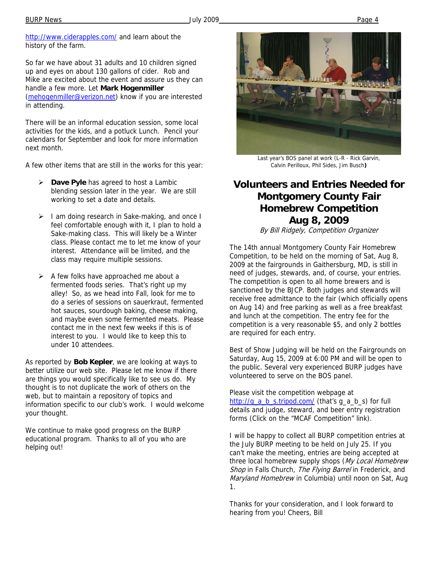So far we have about 31 adults and 10 children signed up and eyes on about 130 gallons of cider. Rob and Mike are excited about the event and assure us they can handle a few more. Let **Mark Hogenmiller**  (mehogenmiller@verizon.net) know if you are interested in attending.

There will be an informal education session, some local activities for the kids, and a potluck Lunch. Pencil your calendars for September and look for more information next month.

A few other items that are still in the works for this year:

- ¾ **Dave Pyle** has agreed to host a Lambic blending session later in the year. We are still working to set a date and details.
- $\triangleright$  I am doing research in Sake-making, and once I feel comfortable enough with it, I plan to hold a Sake-making class. This will likely be a Winter class. Please contact me to let me know of your interest. Attendance will be limited, and the class may require multiple sessions.
- $\triangleright$  A few folks have approached me about a fermented foods series. That's right up my alley! So, as we head into Fall, look for me to do a series of sessions on sauerkraut, fermented hot sauces, sourdough baking, cheese making, and maybe even some fermented meats. Please contact me in the next few weeks if this is of interest to you. I would like to keep this to under 10 attendees.

As reported by **Bob Kepler**, we are looking at ways to better utilize our web site. Please let me know if there are things you would specifically like to see us do. My thought is to not duplicate the work of others on the web, but to maintain a repository of topics and information specific to our club's work. I would welcome your thought.

We continue to make good progress on the BURP educational program. Thanks to all of you who are helping out!



Last year's BOS panel at work (L-R - Rick Garvin, Calvin Perilloux, Phil Sides, Jim Busch**)** 

# **Volunteers and Entries Needed for Montgomery County Fair Homebrew Competition Aug 8, 2009**

By Bill Ridgely, Competition Organizer

The 14th annual Montgomery County Fair Homebrew Competition, to be held on the morning of Sat, Aug 8, 2009 at the fairgrounds in Gaithersburg, MD, is still in need of judges, stewards, and, of course, your entries. The competition is open to all home brewers and is sanctioned by the BJCP. Both judges and stewards will receive free admittance to the fair (which officially opens on Aug 14) and free parking as well as a free breakfast and lunch at the competition. The entry fee for the competition is a very reasonable \$5, and only 2 bottles are required for each entry.

Best of Show Judging will be held on the Fairgrounds on Saturday, Aug 15, 2009 at 6:00 PM and will be open to the public. Several very experienced BURP judges have volunteered to serve on the BOS panel.

Please visit the competition webpage at http://g\_a\_b\_s.tripod.com/ (that's g\_a\_b\_s) for full details and judge, steward, and beer entry registration forms (Click on the "MCAF Competition" link).

I will be happy to collect all BURP competition entries at the July BURP meeting to be held on July 25. If you can't make the meeting, entries are being accepted at three local homebrew supply shops (My Local Homebrew Shop in Falls Church, The Flying Barrel in Frederick, and Maryland Homebrew in Columbia) until noon on Sat, Aug 1.

Thanks for your consideration, and I look forward to hearing from you! Cheers, Bill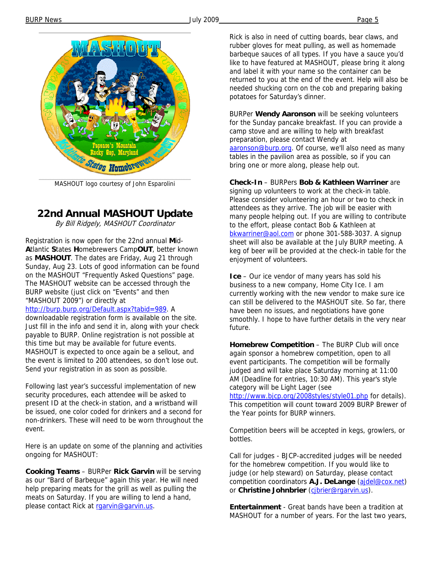

MASHOUT logo courtesy of John Esparolini

# **22nd Annual MASHOUT Update**

By Bill Ridgely, MASHOUT Coordinator

Registration is now open for the 22nd annual **M**id-**A**tlantic **S**tates **H**omebrewers Camp**OUT**, better known as **MASHOUT**. The dates are Friday, Aug 21 through Sunday, Aug 23. Lots of good information can be found on the MASHOUT "Frequently Asked Questions" page. The MASHOUT website can be accessed through the BURP website (just click on "Events" and then "MASHOUT 2009") or directly at

http://burp.burp.org/Default.aspx?tabid=989. A downloadable registration form is available on the site. Just fill in the info and send it in, along with your check payable to BURP. Online registration is not possible at this time but may be available for future events. MASHOUT is expected to once again be a sellout, and the event is limited to 200 attendees, so don't lose out. Send your registration in as soon as possible.

Following last year's successful implementation of new security procedures, each attendee will be asked to present ID at the check-in station, and a wristband will be issued, one color coded for drinkers and a second for non-drinkers. These will need to be worn throughout the event.

Here is an update on some of the planning and activities ongoing for MASHOUT:

**Cooking Teams** – BURPer **Rick Garvin** will be serving as our "Bard of Barbeque" again this year. He will need help preparing meats for the grill as well as pulling the meats on Saturday. If you are willing to lend a hand, please contact Rick at raarvin@garvin.us.

Rick is also in need of cutting boards, bear claws, and rubber gloves for meat pulling, as well as homemade barbeque sauces of all types. If you have a sauce you'd like to have featured at MASHOUT, please bring it along and label it with your name so the container can be returned to you at the end of the event. Help will also be needed shucking corn on the cob and preparing baking potatoes for Saturday's dinner.

BURPer **Wendy Aaronson** will be seeking volunteers for the Sunday pancake breakfast. If you can provide a camp stove and are willing to help with breakfast preparation, please contact Wendy at aaronson@burp.org. Of course, we'll also need as many tables in the pavilion area as possible, so if you can bring one or more along, please help out.

**Check-In** – BURPers **Bob & Kathleen Warriner** are signing up volunteers to work at the check-in table. Please consider volunteering an hour or two to check in attendees as they arrive. The job will be easier with many people helping out. If you are willing to contribute to the effort, please contact Bob & Kathleen at bkwarriner@aol.com or phone 301-588-3037. A signup sheet will also be available at the July BURP meeting. A keg of beer will be provided at the check-in table for the enjoyment of volunteers.

**Ice** – Our ice vendor of many years has sold his business to a new company, Home City Ice. I am currently working with the new vendor to make sure ice can still be delivered to the MASHOUT site. So far, there have been no issues, and negotiations have gone smoothly. I hope to have further details in the very near future.

**Homebrew Competition** – The BURP Club will once again sponsor a homebrew competition, open to all event participants. The competition will be formally judged and will take place Saturday morning at 11:00 AM (Deadline for entries, 10:30 AM). This year's style category will be Light Lager (see

http://www.bjcp.org/2008styles/style01.php for details). This competition will count toward 2009 BURP Brewer of the Year points for BURP winners.

Competition beers will be accepted in kegs, growlers, or bottles.

Call for judges - BJCP-accredited judges will be needed for the homebrew competition. If you would like to judge (or help steward) on Saturday, please contact competition coordinators **A.J. DeLange** (ajdel@cox.net) or **Christine Johnbrier** (cjbrier@rgarvin.us).

**Entertainment** - Great bands have been a tradition at MASHOUT for a number of years. For the last two years,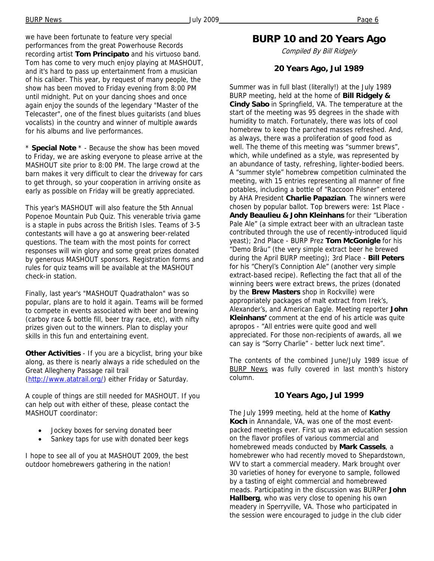we have been fortunate to feature very special performances from the great Powerhouse Records recording artist **Tom Principato** and his virtuoso band. Tom has come to very much enjoy playing at MASHOUT, and it's hard to pass up entertainment from a musician of his caliber. This year, by request of many people, the show has been moved to Friday evening from 8:00 PM until midnight. Put on your dancing shoes and once again enjoy the sounds of the legendary "Master of the Telecaster", one of the finest blues guitarists (and blues vocalists) in the country and winner of multiple awards for his albums and live performances.

\* **Special Note** \* - Because the show has been moved to Friday, we are asking everyone to please arrive at the MASHOUT site prior to 8:00 PM. The large crowd at the barn makes it very difficult to clear the driveway for cars to get through, so your cooperation in arriving onsite as early as possible on Friday will be greatly appreciated.

This year's MASHOUT will also feature the 5th Annual Popenoe Mountain Pub Quiz. This venerable trivia game is a staple in pubs across the British Isles. Teams of 3-5 contestants will have a go at answering beer-related questions. The team with the most points for correct responses will win glory and some great prizes donated by generous MASHOUT sponsors. Registration forms and rules for quiz teams will be available at the MASHOUT check-in station.

Finally, last year's "MASHOUT Quadrathalon" was so popular, plans are to hold it again. Teams will be formed to compete in events associated with beer and brewing (carboy race & bottle fill, beer tray race, etc), with nifty prizes given out to the winners. Plan to display your skills in this fun and entertaining event.

**Other Activities** - If you are a bicyclist, bring your bike along, as there is nearly always a ride scheduled on the Great Allegheny Passage rail trail (http://www.atatrail.org/) either Friday or Saturday.

A couple of things are still needed for MASHOUT. If you can help out with either of these, please contact the MASHOUT coordinator:

- Jockey boxes for serving donated beer
- Sankey taps for use with donated beer kegs

I hope to see all of you at MASHOUT 2009, the best outdoor homebrewers gathering in the nation!

# **BURP 10 and 20 Years Ago**

Compiled By Bill Ridgely

### **20 Years Ago, Jul 1989**

Summer was in full blast (literally!) at the July 1989 BURP meeting, held at the home of **Bill Ridgely & Cindy Sabo** in Springfield, VA. The temperature at the start of the meeting was 95 degrees in the shade with humidity to match. Fortunately, there was lots of cool homebrew to keep the parched masses refreshed. And, as always, there was a proliferation of good food as well. The theme of this meeting was "summer brews", which, while undefined as a style, was represented by an abundance of tasty, refreshing, lighter-bodied beers. A "summer style" homebrew competition culminated the meeting, with 15 entries representing all manner of fine potables, including a bottle of "Raccoon Pilsner" entered by AHA President **Charlie Papazian**. The winners were chosen by popular ballot. Top brewers were: 1st Place - **Andy Beaulieu & John Kleinhans** for their "Liberation Pale Ale" (a simple extract beer with an ultraclean taste contributed through the use of recently-introduced liquid yeast); 2nd Place - BURP Prez **Tom McGonigle** for his "Demo Bräu" (the very simple extract beer he brewed during the April BURP meeting); 3rd Place - **Bill Peters**  for his "Cheryl's Conniption Ale" (another very simple extract-based recipe). Reflecting the fact that all of the winning beers were extract brews, the prizes (donated by the **Brew Masters** shop in Rockville) were appropriately packages of malt extract from Irek's, Alexander's, and American Eagle. Meeting reporter **John Kleinhans'** comment at the end of his article was quite apropos - "All entries were quite good and well appreciated. For those non-recipients of awards, all we can say is "Sorry Charlie" - better luck next time".

The contents of the combined June/July 1989 issue of **BURP News** was fully covered in last month's history column.

### **10 Years Ago, Jul 1999**

The July 1999 meeting, held at the home of **Kathy Koch** in Annandale, VA, was one of the most eventpacked meetings ever. First up was an education session on the flavor profiles of various commercial and homebrewed meads conducted by **Mark Cassels**, a homebrewer who had recently moved to Shepardstown, WV to start a commercial meadery. Mark brought over 30 varieties of honey for everyone to sample, followed by a tasting of eight commercial and homebrewed meads. Participating in the discussion was BURPer **John Hallberg**, who was very close to opening his own meadery in Sperryville, VA. Those who participated in the session were encouraged to judge in the club cider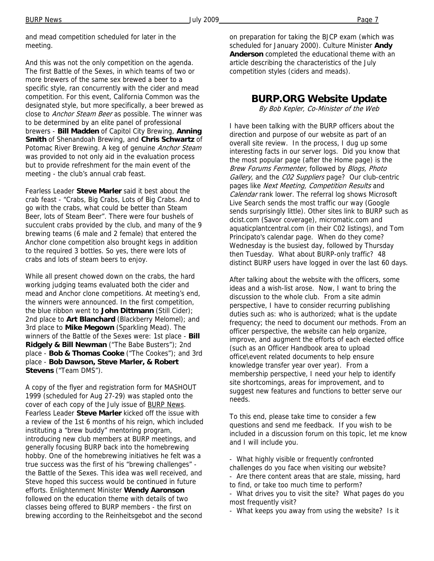and mead competition scheduled for later in the meeting.

And this was not the only competition on the agenda. The first Battle of the Sexes, in which teams of two or more brewers of the same sex brewed a beer to a specific style, ran concurrently with the cider and mead competition. For this event, California Common was the designated style, but more specifically, a beer brewed as close to Anchor Steam Beer as possible. The winner was to be determined by an elite panel of professional brewers - **Bill Madden** of Capitol City Brewing, **Anning Smith** of Shenandoah Brewing, and **Chris Schwartz** of Potomac River Brewing. A keg of genuine Anchor Steam was provided to not only aid in the evaluation process but to provide refreshment for the main event of the meeting - the club's annual crab feast.

Fearless Leader **Steve Marler** said it best about the crab feast - "Crabs, Big Crabs, Lots of Big Crabs. And to go with the crabs, what could be better than Steam Beer, lots of Steam Beer". There were four bushels of succulent crabs provided by the club, and many of the 9 brewing teams (6 male and 2 female) that entered the Anchor clone competition also brought kegs in addition to the required 3 bottles. So yes, there were lots of crabs and lots of steam beers to enjoy.

While all present chowed down on the crabs, the hard working judging teams evaluated both the cider and mead and Anchor clone competitions. At meeting's end, the winners were announced. In the first competition, the blue ribbon went to **John Dittmann** (Still Cider); 2nd place to **Art Blanchard** (Blackberry Melomel); and 3rd place to **Mike Megown** (Sparkling Mead). The winners of the Battle of the Sexes were: 1st place - **Bill Ridgely & Bill Newman** ("The Babe Busters"); 2nd place - **Bob & Thomas Cooke** ("The Cookes"); and 3rd place - **Bob Dawson, Steve Marler, & Robert Stevens** ("Team DMS").

A copy of the flyer and registration form for MASHOUT 1999 (scheduled for Aug 27-29) was stapled onto the cover of each copy of the July issue of BURP News. Fearless Leader **Steve Marler** kicked off the issue with a review of the 1st 6 months of his reign, which included instituting a "brew buddy" mentoring program, introducing new club members at BURP meetings, and generally focusing BURP back into the homebrewing hobby. One of the homebrewing initiatives he felt was a true success was the first of his "brewing challenges" the Battle of the Sexes. This idea was well received, and Steve hoped this success would be continued in future efforts. Enlightenment Minister **Wendy Aaronson** followed on the education theme with details of two classes being offered to BURP members - the first on brewing according to the Reinheitsgebot and the second

on preparation for taking the BJCP exam (which was scheduled for January 2000). Culture Minister **Andy Anderson** completed the educational theme with an article describing the characteristics of the July competition styles (ciders and meads).

### **BURP.ORG Website Update**

By Bob Kepler, Co-Minister of the Web

I have been talking with the BURP officers about the direction and purpose of our website as part of an overall site review. In the process, I dug up some interesting facts in our server logs. Did you know that the most popular page (after the Home page) is the Brew Forums Fermenter, followed by Blogs, Photo Gallery, and the CO2 Suppliers page? Our club-centric pages like Next Meeting, Competition Results and Calendar rank lower. The referral log shows Microsoft Live Search sends the most traffic our way (Google sends surprisingly little). Other sites link to BURP such as dcist.com (Savor coverage), micromatic.com and aquaticplantcentral.com (in their C02 listings), and Tom Principato's calendar page. When do they come? Wednesday is the busiest day, followed by Thursday then Tuesday. What about BURP-only traffic? 48 distinct BURP users have logged in over the last 60 days.

After talking about the website with the officers, some ideas and a wish-list arose. Now, I want to bring the discussion to the whole club. From a site admin perspective, I have to consider recurring publishing duties such as: who is authorized; what is the update frequency; the need to document our methods. From an officer perspective, the website can help organize, improve, and augment the efforts of each elected office (such as an Officer Handbook area to upload office\event related documents to help ensure knowledge transfer year over year). From a membership perspective, I need your help to identify site shortcomings, areas for improvement, and to suggest new features and functions to better serve our needs.

To this end, please take time to consider a few questions and send me feedback. If you wish to be included in a discussion forum on this topic, let me know and I will include you.

- What highly visible or frequently confronted challenges do you face when visiting our website?
- Are there content areas that are stale, missing, hard to find, or take too much time to perform?
- What drives you to visit the site? What pages do you most frequently visit?

- What keeps you away from using the website? Is it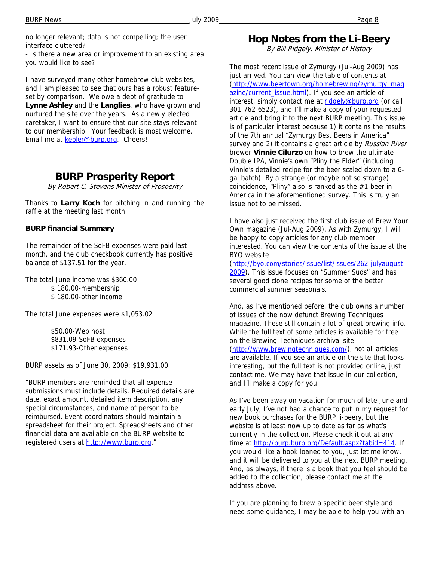no longer relevant; data is not compelling; the user interface cluttered?

- Is there a new area or improvement to an existing area you would like to see?

I have surveyed many other homebrew club websites, and I am pleased to see that ours has a robust featureset by comparison. We owe a debt of gratitude to **Lynne Ashley** and the **Langlies**, who have grown and nurtured the site over the years. As a newly elected caretaker, I want to ensure that our site stays relevant to our membership. Your feedback is most welcome. Email me at kepler@burp.org. Cheers!

## **BURP Prosperity Report**

By Robert C. Stevens Minister of Prosperity

Thanks to **Larry Koch** for pitching in and running the raffle at the meeting last month.

#### **BURP financial Summary**

The remainder of the SoFB expenses were paid last month, and the club checkbook currently has positive balance of \$137.51 for the year.

The total June income was \$360.00 \$ 180.00-membership \$ 180.00-other income

The total June expenses were \$1,053.02

 \$50.00-Web host \$831.09-SoFB expenses \$171.93-Other expenses

BURP assets as of June 30, 2009: \$19,931.00

"BURP members are reminded that all expense submissions must include details. Required details are date, exact amount, detailed item description, any special circumstances, and name of person to be reimbursed. Event coordinators should maintain a spreadsheet for their project. Spreadsheets and other financial data are available on the BURP website to registered users at http://www.burp.org."

## **Hop Notes from the Li-Beery**

By Bill Ridgely, Minister of History

The most recent issue of **Zymurgy** (Jul-Aug 2009) has just arrived. You can view the table of contents at (http://www.beertown.org/homebrewing/zymurgy\_mag azine/current\_issue.html). If you see an article of interest, simply contact me at ridgely@burp.org (or call 301-762-6523), and I'll make a copy of your requested article and bring it to the next BURP meeting. This issue is of particular interest because 1) it contains the results of the 7th annual "Zymurgy Best Beers in America" survey and 2) it contains a great article by Russian River brewer **Vinnie Cilurzo** on how to brew the ultimate Double IPA, Vinnie's own "Pliny the Elder" (including Vinnie's detailed recipe for the beer scaled down to a 6 gal batch). By a strange (or maybe not so strange) coincidence, "Pliny" also is ranked as the #1 beer in America in the aforementioned survey. This is truly an issue not to be missed.

I have also just received the first club issue of Brew Your Own magazine (Jul-Aug 2009). As with Zymurgy, I will be happy to copy articles for any club member interested. You can view the contents of the issue at the BYO website

(http://byo.com/stories/issue/list/issues/262-julyaugust-2009). This issue focuses on "Summer Suds" and has several good clone recipes for some of the better commercial summer seasonals.

And, as I've mentioned before, the club owns a number of issues of the now defunct Brewing Techniques magazine. These still contain a lot of great brewing info. While the full text of some articles is available for free on the Brewing Techniques archival site (http://www.brewingtechniques.com/), not all articles are available. If you see an article on the site that looks interesting, but the full text is not provided online, just contact me. We may have that issue in our collection, and I'll make a copy for you.

As I've been away on vacation for much of late June and early July, I've not had a chance to put in my request for new book purchases for the BURP li-beery, but the website is at least now up to date as far as what's currently in the collection. Please check it out at any time at http://burp.burp.org/Default.aspx?tabid=414. If you would like a book loaned to you, just let me know, and it will be delivered to you at the next BURP meeting. And, as always, if there is a book that you feel should be added to the collection, please contact me at the address above.

If you are planning to brew a specific beer style and need some guidance, I may be able to help you with an